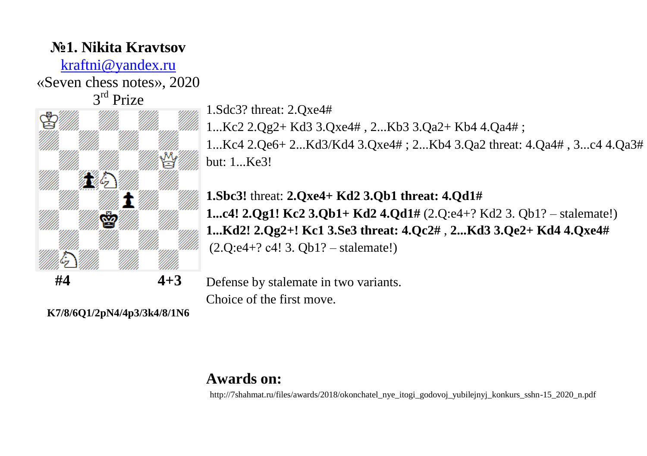## **№1. Nikita Kravtsov**

[kraftni@yandex.ru](mailto:kraftni@yandex.ru)

«Seven chess notes», 2020



1.Sdc3? threat: 2.Qxe4#

1...Kc2 2.Qg2+ Kd3 3.Qxe4# , 2...Kb3 3.Qa2+ Kb4 4.Qa4# ;

1...Kc4 2.Qe6+ 2...Kd3/Kd4 3.Qxe4# ; 2...Kb4 3.Qa2 threat: 4.Qa4# , 3...c4 4.Qa3# but: 1...Ke3!

**1.Sbc3!** threat: **2.Qxe4+ Kd2 3.Qb1 threat: 4.Qd1# 1...c4! 2.Qg1! Kc2 3.Qb1+ Kd2 4.Qd1#** (2.Q:e4+? Kd2 3. Qb1? – stalemate!) **1...Kd2! 2.Qg2+! Kc1 3.Se3 threat: 4.Qc2#** , **2...Kd3 3.Qe2+ Kd4 4.Qxe4#** (2.Q:e4+? с4! 3. Qb1? – stalemate!)

Defense by stalemate in two variants. Choice of the first move.

**K7/8/6Q1/2pN4/4p3/3k4/8/1N6**

### **Awards on:**

http://7shahmat.ru/files/awards/2018/okonchatel\_nye\_itogi\_godovoj\_yubilejnyj\_konkurs\_sshn-15\_2020\_n.pdf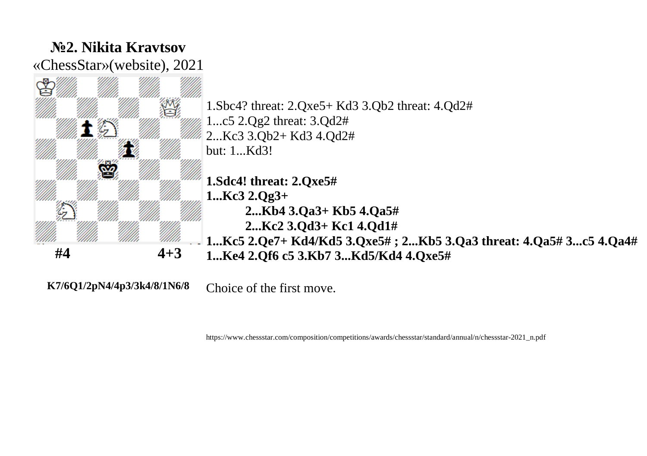

**K7/6Q1/2pN4/4p3/3k4/8/1N6/8**

Choice of the first move.

https://www.chessstar.com/composition/competitions/awards/chessstar/standard/annual/n/chessstar-2021\_n.pdf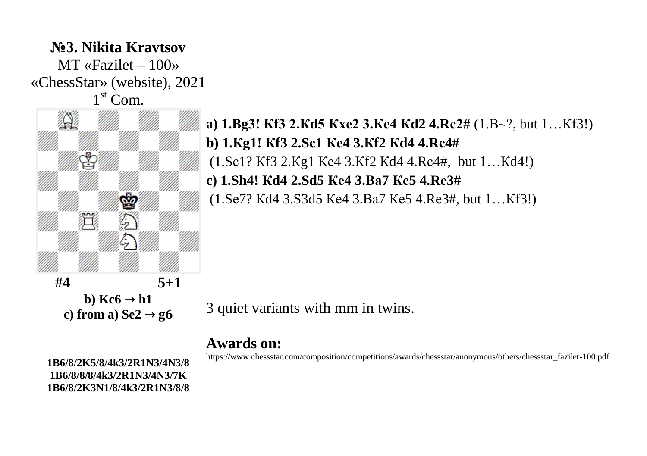## **№3. Nikita Kravtsov**  $MT \times Fazilet - 100$ «ChessStar» (website), 2021 1<sup>st</sup> Com.



# **a) 1.Вg3! Кf3 2.Кd5 Кхе2 3.Ке4 Кd2 4.Rс2#** (1.В~?, but 1…Кf3!) **b) 1.Кg1! Кf3 2.Sс1 Ке4 3.Кf2 Кd4 4.Rс4#** (1.Sс1? Кf3 2.Кg1 Ке4 3.Кf2 Кd4 4.Rс4#, but 1…Кd4!) **c) 1.Sh4! Кd4 2.Sd5 Ке4 3.Ва7 Ке5 4.Rе3#** (1.Sе7? Кd4 3.S3d5 Ке4 3.Ва7 Ке5 4.Rе3#, but 1…Кf3!)

3 quiet variants with mm in twins.

#### **Awards on:**

https://www.chessstar.com/composition/competitions/awards/chessstar/anonymous/others/chessstar\_fazilet-100.pdf

**1B6/8/2K5/8/4k3/2R1N3/4N3/8 1B6/8/8/8/4k3/2R1N3/4N3/7K 1B6/8/2K3N1/8/4k3/2R1N3/8/8**